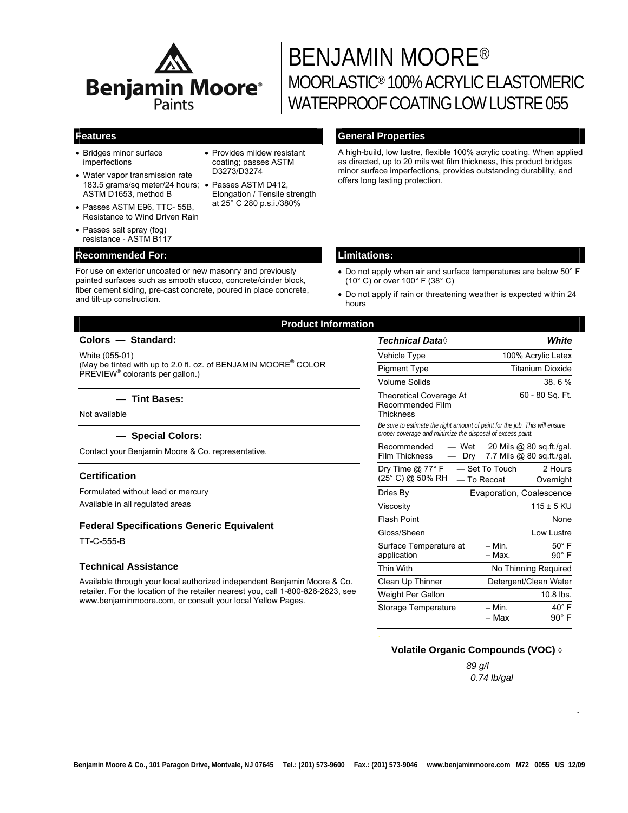

# BENJAMIN MOORE® MOORLASTIC® 100% ACRYLIC ELASTOMERIC WATERPROOF COATING LOW LUSTRE 055

- Bridges minor surface imperfections
- Water vapor transmission rate 183.5 grams/sq meter/24 hours; • Passes ASTM D412, ASTM D1653, method B
- Passes ASTM E96, TTC- 55B, Resistance to Wind Driven Rain
- Passes salt spray (fog) resistance - ASTM B117

# **Recommended For: Limitations:**

For use on exterior uncoated or new masonry and previously painted surfaces such as smooth stucco, concrete/cinder block, fiber cement siding, pre-cast concrete, poured in place concrete, and tilt-up construction.

• Provides mildew resistant coating; passes ASTM D3273/D3274

Elongation / Tensile strength at 25° C 280 p.s.i./380%

# **Features General Properties**

A high-build, low lustre, flexible 100% acrylic coating. When applied as directed, up to 20 mils wet film thickness, this product bridges minor surface imperfections, provides outstanding durability, and offers long lasting protection.

- Do not apply when air and surface temperatures are below 50° F (10° C) or over 100° F (38° C)
- Do not apply if rain or threatening weather is expected within 24 hours

*..* 

| <b>Product Information</b>                                                                                                                                                                                                 |                                                                                                                                           |
|----------------------------------------------------------------------------------------------------------------------------------------------------------------------------------------------------------------------------|-------------------------------------------------------------------------------------------------------------------------------------------|
| Colors - Standard:                                                                                                                                                                                                         | <b>Technical Data</b> ♦<br>White                                                                                                          |
| White (055-01)<br>(May be tinted with up to 2.0 fl. oz. of BENJAMIN MOORE® COLOR<br>PREVIEW <sup>®</sup> colorants per gallon.)                                                                                            | Vehicle Type<br>100% Acrylic Latex                                                                                                        |
|                                                                                                                                                                                                                            | <b>Pigment Type</b><br><b>Titanium Dioxide</b>                                                                                            |
|                                                                                                                                                                                                                            | <b>Volume Solids</b><br>38.6%                                                                                                             |
| - Tint Bases:<br>Not available                                                                                                                                                                                             | 60 - 80 Sq. Ft.<br><b>Theoretical Coverage At</b><br>Recommended Film<br><b>Thickness</b>                                                 |
| - Special Colors:                                                                                                                                                                                                          | Be sure to estimate the right amount of paint for the job. This will ensure<br>proper coverage and minimize the disposal of excess paint. |
| Contact your Benjamin Moore & Co. representative.                                                                                                                                                                          | Recommended<br>- Wet<br>20 Mils @ 80 sq.ft./gal.<br><b>Film Thickness</b><br>7.7 Mils @ 80 sq.ft./gal.<br>$-$ Dry                         |
| <b>Certification</b>                                                                                                                                                                                                       | Dry Time @ 77° F<br>- Set To Touch<br>2 Hours<br>(25° C) @ 50% RH<br>- To Recoat<br>Overnight                                             |
| Formulated without lead or mercury                                                                                                                                                                                         | Dries By<br>Evaporation, Coalescence                                                                                                      |
| Available in all regulated areas                                                                                                                                                                                           | $115 \pm 5$ KU<br>Viscosity                                                                                                               |
| <b>Federal Specifications Generic Equivalent</b>                                                                                                                                                                           | <b>Flash Point</b><br>None                                                                                                                |
|                                                                                                                                                                                                                            | Gloss/Sheen<br>Low Lustre                                                                                                                 |
| TT-C-555-B                                                                                                                                                                                                                 | $50^\circ$ F<br>Surface Temperature at<br>$-$ Min.<br>$-$ Max.<br>$90^\circ$ F<br>application                                             |
| <b>Technical Assistance</b>                                                                                                                                                                                                | Thin With<br>No Thinning Required                                                                                                         |
| Available through your local authorized independent Benjamin Moore & Co.<br>retailer. For the location of the retailer nearest you, call 1-800-826-2623, see<br>www.benjaminmoore.com, or consult your local Yellow Pages. | Clean Up Thinner<br>Detergent/Clean Water                                                                                                 |
|                                                                                                                                                                                                                            | 10.8 lbs.<br>Weight Per Gallon                                                                                                            |
|                                                                                                                                                                                                                            | Storage Temperature<br>$- Min.$<br>$40^\circ$ F<br>$90^\circ$ F<br>- Max                                                                  |
|                                                                                                                                                                                                                            | <b>Volatile Organic Compounds (VOC) &amp;</b><br>89 g/l<br>$0.74$ lb/gal                                                                  |